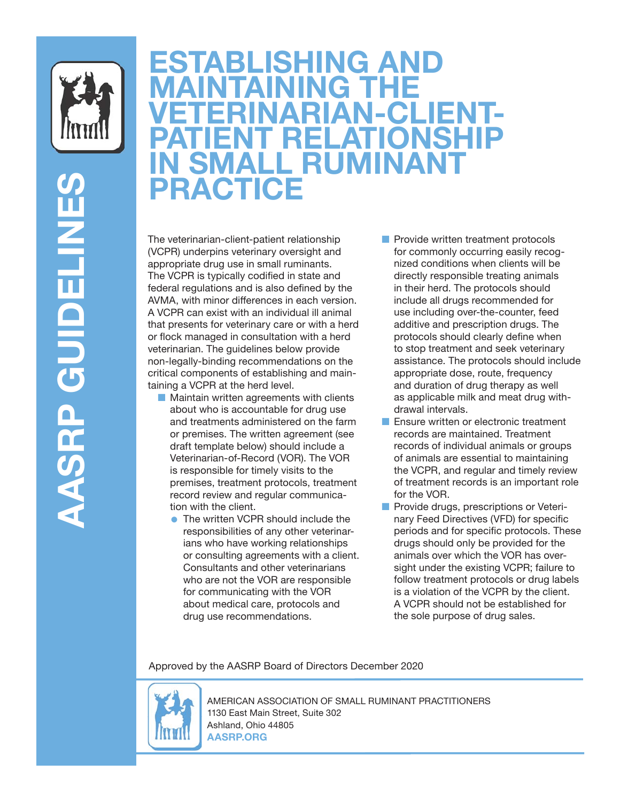

## **ESTABLISHING AND MAINTAINING THE VETERINARIAN-CLIENT-PATIENT RELATIONSHIP IN SMALL RUMINANT PRACTICE**

The veterinarian-client-patient relationship (VCPR) underpins veterinary oversight and appropriate drug use in small ruminants. The VCPR is typically codified in state and federal regulations and is also defined by the AVMA, with minor differences in each version. A VCPR can exist with an individual ill animal that presents for veterinary care or with a herd or flock managed in consultation with a herd veterinarian. The guidelines below provide non-legally-binding recommendations on the critical components of establishing and maintaining a VCPR at the herd level.

- Maintain written agreements with clients about who is accountable for drug use and treatments administered on the farm or premises. The written agreement (see draft template below) should include a Veterinarian-of-Record (VOR). The VOR is responsible for timely visits to the premises, treatment protocols, treatment record review and regular communication with the client.
	- The written VCPR should include the responsibilities of any other veterinarians who have working relationships or consulting agreements with a client. Consultants and other veterinarians who are not the VOR are responsible for communicating with the VOR about medical care, protocols and drug use recommendations.
- Provide written treatment protocols for commonly occurring easily recognized conditions when clients will be directly responsible treating animals in their herd. The protocols should include all drugs recommended for use including over-the-counter, feed additive and prescription drugs. The protocols should clearly define when to stop treatment and seek veterinary assistance. The protocols should include appropriate dose, route, frequency and duration of drug therapy as well as applicable milk and meat drug withdrawal intervals.
- Ensure written or electronic treatment records are maintained. Treatment records of individual animals or groups of animals are essential to maintaining the VCPR, and regular and timely review of treatment records is an important role for the VOR.
- Provide drugs, prescriptions or Veterinary Feed Directives (VFD) for specific periods and for specific protocols. These drugs should only be provided for the animals over which the VOR has oversight under the existing VCPR; failure to follow treatment protocols or drug labels is a violation of the VCPR by the client. A VCPR should not be established for the sole purpose of drug sales.

Approved by the AASRP Board of Directors December 2020



AMERICAN ASSOCIATION OF SMALL RUMINANT PRACTITIONERS 1130 East Main Street, Suite 302 Ashland, Ohio 44805 **AASRP.ORG**